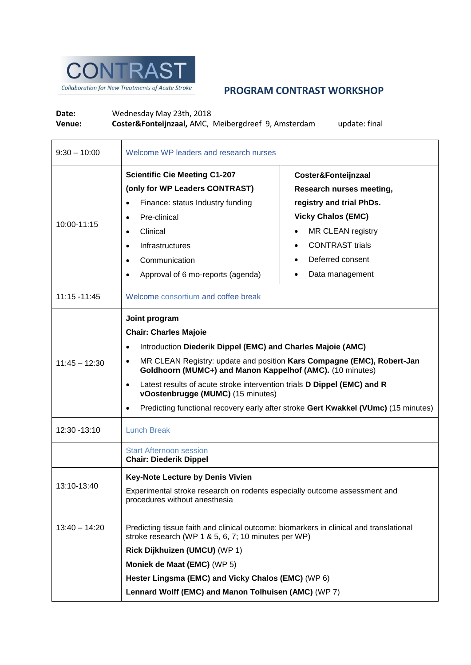

## **PROGRAM CONTRAST WORKSHOP**

Date: Wednesday May 23th, 2018<br> **Venue: Coster&Fonteijnzaal, AMC, Venue: Coster&Fonteijnzaal,** AMC, Meibergdreef 9, Amsterdam update: final

| $9:30 - 10:00$  | Welcome WP leaders and research nurses                                                                                                                                                                                                                                                                                                                                                                                                                    |                                                                                                                                                                                                |  |
|-----------------|-----------------------------------------------------------------------------------------------------------------------------------------------------------------------------------------------------------------------------------------------------------------------------------------------------------------------------------------------------------------------------------------------------------------------------------------------------------|------------------------------------------------------------------------------------------------------------------------------------------------------------------------------------------------|--|
| 10:00-11:15     | <b>Scientific Cie Meeting C1-207</b><br>(only for WP Leaders CONTRAST)<br>Finance: status Industry funding<br>Pre-clinical<br>Clinical<br><b>Infrastructures</b><br>Communication<br>Approval of 6 mo-reports (agenda)                                                                                                                                                                                                                                    | Coster&Fonteijnzaal<br>Research nurses meeting,<br>registry and trial PhDs.<br><b>Vicky Chalos (EMC)</b><br>MR CLEAN registry<br><b>CONTRAST trials</b><br>Deferred consent<br>Data management |  |
| 11:15 - 11:45   | Welcome consortium and coffee break                                                                                                                                                                                                                                                                                                                                                                                                                       |                                                                                                                                                                                                |  |
| $11:45 - 12:30$ | Joint program<br><b>Chair: Charles Majoie</b><br>Introduction Diederik Dippel (EMC) and Charles Majoie (AMC)<br>MR CLEAN Registry: update and position Kars Compagne (EMC), Robert-Jan<br>Goldhoorn (MUMC+) and Manon Kappelhof (AMC). (10 minutes)<br>Latest results of acute stroke intervention trials D Dippel (EMC) and R<br>vOostenbrugge (MUMC) (15 minutes)<br>Predicting functional recovery early after stroke Gert Kwakkel (VUmc) (15 minutes) |                                                                                                                                                                                                |  |
| 12:30 - 13:10   | <b>Lunch Break</b>                                                                                                                                                                                                                                                                                                                                                                                                                                        |                                                                                                                                                                                                |  |
|                 | <b>Start Afternoon session</b><br><b>Chair: Diederik Dippel</b>                                                                                                                                                                                                                                                                                                                                                                                           |                                                                                                                                                                                                |  |
| 13:10-13:40     | <b>Key-Note Lecture by Denis Vivien</b><br>Experimental stroke research on rodents especially outcome assessment and<br>procedures without anesthesia                                                                                                                                                                                                                                                                                                     |                                                                                                                                                                                                |  |
| $13:40 - 14:20$ | Predicting tissue faith and clinical outcome: biomarkers in clinical and translational<br>stroke research (WP 1 & 5, 6, 7; 10 minutes per WP)<br>Rick Dijkhuizen (UMCU) (WP 1)<br>Moniek de Maat (EMC) (WP 5)<br>Hester Lingsma (EMC) and Vicky Chalos (EMC) (WP 6)                                                                                                                                                                                       |                                                                                                                                                                                                |  |
|                 | Lennard Wolff (EMC) and Manon Tolhuisen (AMC) (WP 7)                                                                                                                                                                                                                                                                                                                                                                                                      |                                                                                                                                                                                                |  |